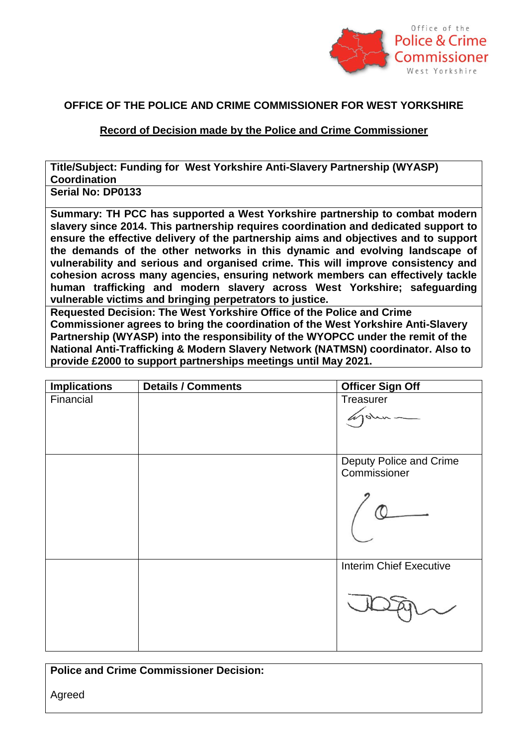

## **OFFICE OF THE POLICE AND CRIME COMMISSIONER FOR WEST YORKSHIRE**

## **Record of Decision made by the Police and Crime Commissioner**

**Title/Subject: Funding for West Yorkshire Anti-Slavery Partnership (WYASP) Coordination**

**Serial No: DP0133**

**Summary: TH PCC has supported a West Yorkshire partnership to combat modern slavery since 2014. This partnership requires coordination and dedicated support to ensure the effective delivery of the partnership aims and objectives and to support the demands of the other networks in this dynamic and evolving landscape of vulnerability and serious and organised crime. This will improve consistency and cohesion across many agencies, ensuring network members can effectively tackle human trafficking and modern slavery across West Yorkshire; safeguarding vulnerable victims and bringing perpetrators to justice.**

**Requested Decision: The West Yorkshire Office of the Police and Crime Commissioner agrees to bring the coordination of the West Yorkshire Anti-Slavery Partnership (WYASP) into the responsibility of the WYOPCC under the remit of the National Anti-Trafficking & Modern Slavery Network (NATMSN) coordinator. Also to provide £2000 to support partnerships meetings until May 2021.**

| <b>Implications</b> | Details / Comments | <b>Officer Sign Off</b>                 |
|---------------------|--------------------|-----------------------------------------|
| Financial           |                    | Treasurer<br>Tohn                       |
|                     |                    |                                         |
|                     |                    | Deputy Police and Crime<br>Commissioner |
|                     |                    |                                         |
|                     |                    | <b>Interim Chief Executive</b>          |
|                     |                    |                                         |
|                     |                    |                                         |

**Police and Crime Commissioner Decision:**

Agreed